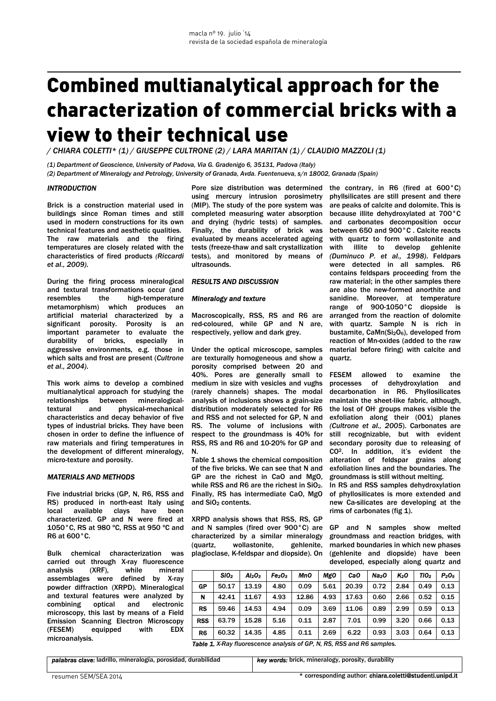# Combined multianalytical approach for the characterization of commercial bricks with a view to their technical use

*/ CHIARA COLETTI\* (1) / GIUSEPPE CULTRONE (2) / LARA MARITAN (1) / CLAUDIO MAZZOLI (1)*

*(1) Department of Geoscience, University of Padova, Via G. Gradenigo 6, 35131, Padova (Italy) (2) Department of Mineralogy and Petrology, University of Granada, Avda. Fuentenueva, s/n 18002, Granada (Spain)* 

### *INTRODUCTION*

Brick is a construction material used in buildings since Roman times and still used in modern constructions for its own technical features and aesthetic qualities. The raw materials and the firing temperatures are closely related with the characteristics of fired products *(Riccardi et al., 2009)*.

During the firing process mineralogical and textural transformations occur (and resembles the high-temperature metamorphism) which produces an artificial material characterized by a significant porosity. Porosity is an important parameter to evaluate the durability of bricks, especially in aggressive environments, e.g. those in which salts and frost are present (*Cultrone et al., 2004)*.

This work aims to develop a combined multianalytical approach for studying the relationships between mineralogicaltextural and physical-mechanical characteristics and decay behavior of five types of industrial bricks. They have been chosen in order to define the influence of raw materials and firing temperatures in the development of different mineralogy, micro-texture and porosity.

#### *MATERIALS AND METHODS*

Five industrial bricks (GP, N, R6, RSS and RS) produced in north-east Italy using local available clays have been characterized. GP and N were fired at 1050°C, RS at 980 ºC, RSS at 950 ºC and R6 at 600°C.

Bulk chemical characterization was carried out through X-ray fluorescence analysis (XRF), while mineral assemblages were defined by X-ray powder diffraction (XRPD). Mineralogical and textural features were analyzed by combining optical and electronic microscopy, this last by means of a Field Emission Scanning Electron Microscopy (FESEM) equipped with EDX microanalysis.

using mercury intrusion porosimetry (MIP). The study of the pore system was completed measuring water absorption and drying (hydric tests) of samples. Finally, the durability of brick was evaluated by means accelerated ageing tests (freeze-thaw and salt crystallization tests), and monitored by means of ultrasounds.

## *RESULTS AND DISCUSSION*

#### *Mineralogy and texture*

Macroscopically, RSS, RS and R6 are red-coloured, while GP and N are, respectively, yellow and dark grey.

Under the optical microscope, samples are texturally homogeneous and show a porosity comprised between 20 and 40%. Pores are generally small to medium in size with vesicles and vughs (rarely channels) shapes. The modal analysis of inclusions shows a grain-size distribution moderately selected for R6 and RSS and not selected for GP, N and RS. The volume of inclusions with respect to the groundmass is 40% for RSS, RS and R6 and 10-20% for GP and N.

Table 1 shows the chemical composition of the five bricks. We can see that N and GP are the richest in CaO and MgO, while RSS and R6 are the richest in SiO<sub>2</sub>. Finally, RS has intermediate CaO, MgO and SiO<sub>2</sub> contents.

XRPD analysis shows that RSS, RS, GP and N samples (fired over 900°C) are characterized by a similar mineralogy<br>(quartz, wollastonite, gehlenite. (quartz, wollastonite, plagioclase, K-feldspar and diopside). On

Pore size distribution was determined the contrary, in R6 (fired at 600°C) phyllsilicates are still present and there are peaks of calcite and dolomite. This is because illite dehydroxylated at 700°C and carbonates decomposition occur between 650 and 900°C . Calcite reacts with quartz to form wollastonite and with illite to develop gehlenite *(Duminuco P. et al., 1998)*. Feldpars were detected in all samples. R6 contains feldspars proceeding from the raw material; in the other samples there are also the new-formed anorthite and sanidine. Moreover, at temperature range of 900-1050°C diopside is arranged from the reaction of dolomite with quartz. Sample N is rich in bustamite, CaMn(Si<sub>2</sub>O<sub>6</sub>), developed from reaction of Mn-oxides (added to the raw material before firing) with calcite and quartz.

> FESEM allowed to examine the processes of dehydroxylation and decarbonation in R6. Phyllosilicates maintain the sheet-like fabric, although, the lost of OH- groups makes visible the exfoliation along their (001) planes *(Cultrone et al., 2005*). Carbonates are still recognizable, but with evident secondary porosity due to releasing of CO2. In addition, it's evident the alteration of feldspar grains along exfoliation lines and the boundaries. The groundmass is still without melting. In RS and RSS samples dehydroxylation

of phyllosilicates is more extended and new Ca-silicates are developing at the rims of carbonates (fig 1).

GP and N samples show melted groundmass and reaction bridges, with marked boundaries in which new phases (gehlenite and diopside) have been developed, especially along quartz and

|            | SiO <sub>2</sub> | Al <sub>2</sub> O <sub>3</sub> | Fe <sub>2</sub> O <sub>3</sub> | MnO   | MgO  | CaO   | Na <sub>2</sub> 0 | K2O  | TIO <sub>2</sub> | $P_2O_5$ |
|------------|------------------|--------------------------------|--------------------------------|-------|------|-------|-------------------|------|------------------|----------|
| GP         | 50.17            | 13.19                          | 4.80                           | 0.09  | 5.61 | 20.39 | 0.72              | 2.84 | 0.49             | 0.13     |
| N          | 42.41            | 11.67                          | 4.93                           | 12.86 | 4.93 | 17.63 | 0.60              | 2.66 | 0.52             | 0.15     |
| RS         | 59.46            | 14.53                          | 4.94                           | 0.09  | 3.69 | 11.06 | 0.89              | 2.99 | 0.59             | 0.13     |
| <b>RSS</b> | 63.79            | 15.28                          | 5.16                           | 0.11  | 2.87 | 7.01  | 0.99              | 3.20 | 0.66             | 0.13     |
| R6         | 60.32            | 14.35                          | 4.85                           | 0.11  | 2.69 | 6.22  | 0.93              | 3.03 | 0.64             | 0.13     |

*Table 1. X-Ray fluorescence analysis of GP, N, RS, RSS and R6 sample*s.

*palabras clave:* ladrillo, mineralogía, porosidad, durabilidad

*key words:* brick, mineralogy, porosity, durability